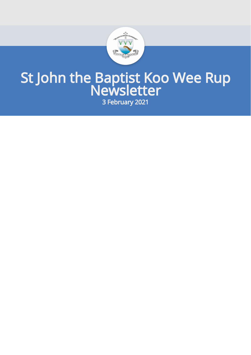

# St John the Baptist Koo Wee Rup Newsletter

3 February 2021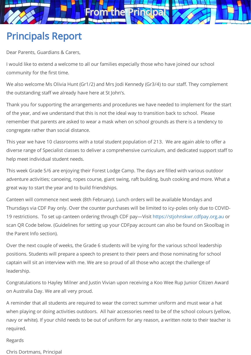

# Principals Report

Dear Parents, Guardians & Carers,

I would like to extend a welcome to all our families especially those who have joined our school community for the first time.

We also welcome Ms Olivia Hunt (Gr1/2) and Mrs Jodi Kennedy (Gr3/4) to our staff. They complement the outstanding staff we already have here at St John's.

Thank you for supporting the arrangements and procedures we have needed to implement for the start of the year, and we understand that this is not the ideal way to transition back to school. Please remember that parents are asked to wear a mask when on school grounds as there is a tendency to congregate rather than social distance.

This year we have 10 classrooms with a total student population of 213. We are again able to offer a diverse range of Specialist classes to deliver a comprehensive curriculum, and dedicated support staff to help meet individual student needs.

This week Grade 5/6 are enjoying their Forest Lodge Camp. The days are filled with various outdoor adventure activities; canoeing, ropes course, giant swing, raft building, bush cooking and more. What a great way to start the year and to build friendships.

Canteen will commence next week (8th February). Lunch orders will be available Mondays and Thursdays via CDF Pay only. Over the counter purchases will be limited to icy-poles only due to COVID-19 restrictions. To set up canteen ordering through CDF pay—Visit [https://stjohnskwr.cdfpay.org.au](https://stjohnskwr.cdfpay.org.au/) or scan QR Code below. (Guidelines for setting up your CDFpay account can also be found on Skoolbag in the Parent Info section).

Over the next couple of weeks, the Grade 6 students will be vying for the various school leadership positions. Students will prepare a speech to present to their peers and those nominating for school captain will sit an interview with me. We are so proud of all those who accept the challenge of leadership.

Congratulations to Hayley Milner and Justin Vivian upon receiving a Koo Wee Rup Junior Citizen Award on Australia Day. We are all very proud.

A reminder that all students are required to wear the correct summer uniform and must wear a hat when playing or doing activities outdoors. All hair accessories need to be of the school colours (yellow, navy or white). If your child needs to be out of uniform for any reason, a written note to their teacher is required.

#### Regards

Chris Dortmans, Principal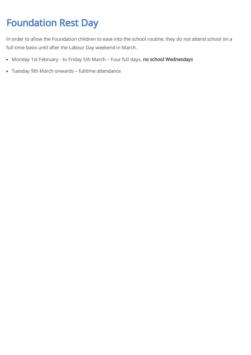# Foundation Rest Day

In order to allow the Foundation children to ease into the school routine, they do not attend school on a full-time basis until after the Labour Day weekend in March.

- Monday 1st February to Friday 5th March Four full days, no school Wednesdays
- Tuesday 9th March onwards fulltime attendance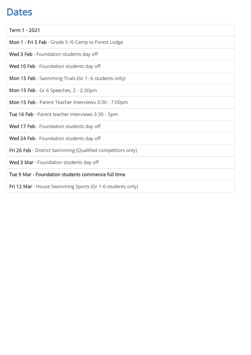#### Dates

| Term 1 - 2021                                               |  |
|-------------------------------------------------------------|--|
| Mon 1 - Fri 5 Feb - Grade 5 /6 Camp to Forest Lodge         |  |
| Wed 3 Feb - Foundation students day off                     |  |
| Wed 10 Feb - Foundation students day off                    |  |
| Mon 15 Feb - Swimming Trials (Gr 1- 6 students only)        |  |
| Mon 15 Feb - Gr 6 Speeches, 2 - 2:30pm                      |  |
| Mon 15 Feb - Parent Teacher Interviews 3:30 - 7:00pm        |  |
| Tue 16 Feb - Parent teacher Interviews 3:30 - 5pm           |  |
| Wed 17 Feb - Foundation students day off                    |  |
| Wed 24 Feb - Foundation students day off                    |  |
| Fri 26 Feb - District Swimming (Qualified competitors only) |  |
| Wed 3 Mar - Foundation students day off                     |  |
| Tue 9 Mar - Foundation students commence full time          |  |
| Fri 12 Mar - House Swimming Sports (Gr 1-6 students only)   |  |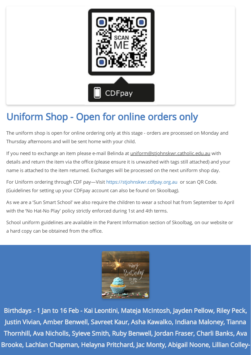

# Uniform Shop - Open for online orders only

The uniform shop is open for online ordering only at this stage - orders are processed on Monday and Thursday afternoons and will be sent home with your child.

If you need to exchange an item please e-mail Belinda at *uniform@stjohnskwr.catholic.edu.au* with details and return the item via the office (please ensure it is unwashed with tags still attached) and your name is attached to the item returned. Exchanges will be processed on the next uniform shop day.

For Uniform ordering through CDF pay—Visit [https://stjohnskwr.cdfpay.org.au](https://stjohnskwr.cdfpay.org.au/) or scan QR Code. (Guidelines for setting up your CDFpay account can also be found on Skoolbag).

As we are a 'Sun Smart School' we also require the children to wear a school hat from September to April with the 'No Hat-No Play' policy strictly enforced during 1st and 4th terms.

School uniform guidelines are available in the Parent Information section of Skoolbag, on our website or a hard copy can be obtained from the office.



Birthdays - 1 Jan to 16 Feb - Kai Leontini, Mateja McIntosh, Jayden Pellow, Riley Peck, Justin Vivian, Amber Benwell, Savreet Kaur, Asha Kawalko, Indiana Maloney, Tianna Thornhill, Ava Nicholls, Syieve Smith, Ruby Benwell, Jordan Fraser, Charli Banks, Ava Brooke, Lachlan Chapman, Helayna Pritchard, Jac Monty, Abigail Noone, Lillian Colley-